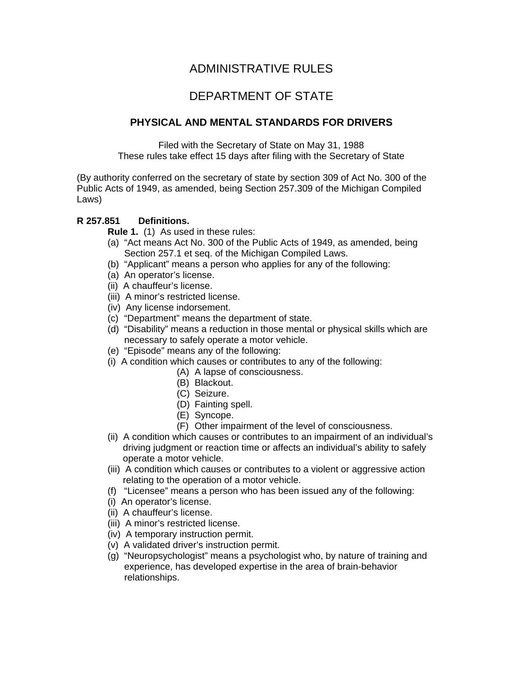# ADMINISTRATIVE RULES

# DEPARTMENT OF STATE

# **PHYSICAL AND MENTAL STANDARDS FOR DRIVERS**

Filed with the Secretary of State on May 31, 1988 These rules take effect 15 days after filing with the Secretary of State

(By authority conferred on the secretary of state by section 309 of Act No. 300 of the Public Acts of 1949, as amended, being Section 257.309 of the Michigan Compiled Laws)

## **R 257.851 Definitions.**

**Rule 1.** (1) As used in these rules:

- (a) "Act means Act No. 300 of the Public Acts of 1949, as amended, being Section 257.1 et seq. of the Michigan Compiled Laws.
- (b) "Applicant" means a person who applies for any of the following:
- (a) An operator's license.
- (ii) A chauffeur's license.
- (iii) A minor's restricted license.
- (iv) Any license indorsement.
- (c) "Department" means the department of state.
- (d) "Disability" means a reduction in those mental or physical skills which are necessary to safely operate a motor vehicle.
- (e) "Episode" means any of the following:
- (i) A condition which causes or contributes to any of the following:
	- (A) A lapse of consciousness.
	- (B) Blackout.
	- (C) Seizure.
	- (D) Fainting spell.
	- (E) Syncope.
	- (F) Other impairment of the level of consciousness.
- (ii) A condition which causes or contributes to an impairment of an individual's driving judgment or reaction time or affects an individual's ability to safely operate a motor vehicle.
- (iii) A condition which causes or contributes to a violent or aggressive action relating to the operation of a motor vehicle.
- (f) "Licensee" means a person who has been issued any of the following:
- (i) An operator's license.
- (ii) A chauffeur's license.
- (iii) A minor's restricted license.
- (iv) A temporary instruction permit.
- (v) A validated driver's instruction permit.
- (g) "Neuropsychologist" means a psychologist who, by nature of training and experience, has developed expertise in the area of brain-behavior relationships.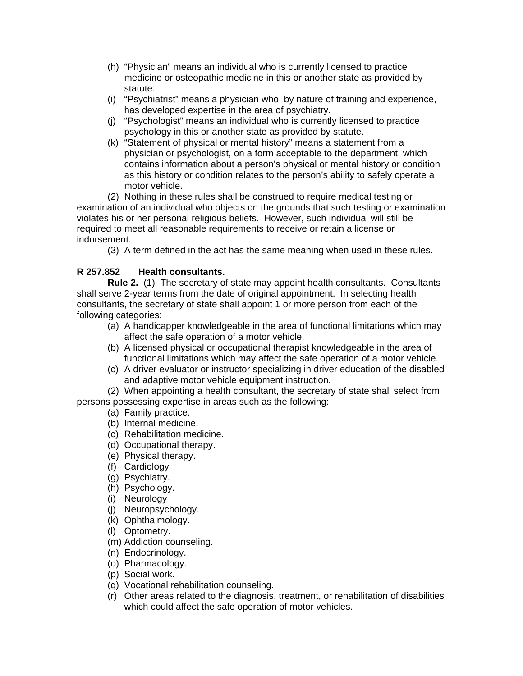- (h) "Physician" means an individual who is currently licensed to practice medicine or osteopathic medicine in this or another state as provided by statute.
- (i) "Psychiatrist" means a physician who, by nature of training and experience, has developed expertise in the area of psychiatry.
- (j) "Psychologist" means an individual who is currently licensed to practice psychology in this or another state as provided by statute.
- (k) "Statement of physical or mental history" means a statement from a physician or psychologist, on a form acceptable to the department, which contains information about a person's physical or mental history or condition as this history or condition relates to the person's ability to safely operate a motor vehicle.

(2) Nothing in these rules shall be construed to require medical testing or examination of an individual who objects on the grounds that such testing or examination violates his or her personal religious beliefs. However, such individual will still be required to meet all reasonable requirements to receive or retain a license or indorsement.

(3) A term defined in the act has the same meaning when used in these rules.

# **R 257.852 Health consultants.**

 **Rule 2.** (1) The secretary of state may appoint health consultants. Consultants shall serve 2-year terms from the date of original appointment. In selecting health consultants, the secretary of state shall appoint 1 or more person from each of the following categories:

- (a) A handicapper knowledgeable in the area of functional limitations which may affect the safe operation of a motor vehicle.
- (b) A licensed physical or occupational therapist knowledgeable in the area of functional limitations which may affect the safe operation of a motor vehicle.
- (c) A driver evaluator or instructor specializing in driver education of the disabled and adaptive motor vehicle equipment instruction.

(2) When appointing a health consultant, the secretary of state shall select from persons possessing expertise in areas such as the following:

- (a) Family practice.
- (b) Internal medicine.
- (c) Rehabilitation medicine.
- (d) Occupational therapy.
- (e) Physical therapy.
- (f) Cardiology
- (g) Psychiatry.
- (h) Psychology.
- (i) Neurology
- (j) Neuropsychology.
- (k) Ophthalmology.
- (l) Optometry.
- (m) Addiction counseling.
- (n) Endocrinology.
- (o) Pharmacology.
- (p) Social work.
- (q) Vocational rehabilitation counseling.
- (r) Other areas related to the diagnosis, treatment, or rehabilitation of disabilities which could affect the safe operation of motor vehicles.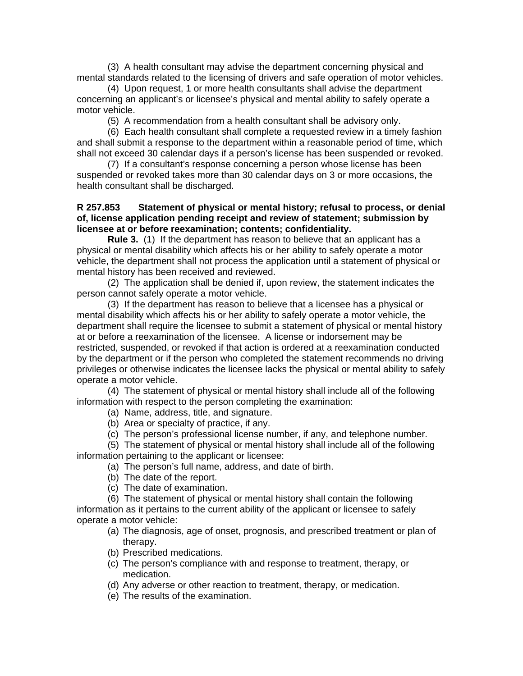(3) A health consultant may advise the department concerning physical and mental standards related to the licensing of drivers and safe operation of motor vehicles.

(4) Upon request, 1 or more health consultants shall advise the department concerning an applicant's or licensee's physical and mental ability to safely operate a motor vehicle.

(5) A recommendation from a health consultant shall be advisory only.

(6) Each health consultant shall complete a requested review in a timely fashion and shall submit a response to the department within a reasonable period of time, which shall not exceed 30 calendar days if a person's license has been suspended or revoked.

(7) If a consultant's response concerning a person whose license has been suspended or revoked takes more than 30 calendar days on 3 or more occasions, the health consultant shall be discharged.

#### **R 257.853 Statement of physical or mental history; refusal to process, or denial of, license application pending receipt and review of statement; submission by licensee at or before reexamination; contents; confidentiality.**

 **Rule 3.** (1) If the department has reason to believe that an applicant has a physical or mental disability which affects his or her ability to safely operate a motor vehicle, the department shall not process the application until a statement of physical or mental history has been received and reviewed.

 (2) The application shall be denied if, upon review, the statement indicates the person cannot safely operate a motor vehicle.

 (3) If the department has reason to believe that a licensee has a physical or mental disability which affects his or her ability to safely operate a motor vehicle, the department shall require the licensee to submit a statement of physical or mental history at or before a reexamination of the licensee. A license or indorsement may be restricted, suspended, or revoked if that action is ordered at a reexamination conducted by the department or if the person who completed the statement recommends no driving privileges or otherwise indicates the licensee lacks the physical or mental ability to safely operate a motor vehicle.

 (4) The statement of physical or mental history shall include all of the following information with respect to the person completing the examination:

- (a) Name, address, title, and signature.
- (b) Area or specialty of practice, if any.
- (c) The person's professional license number, if any, and telephone number.

(5) The statement of physical or mental history shall include all of the following information pertaining to the applicant or licensee:

- (a) The person's full name, address, and date of birth.
- (b) The date of the report.
- (c) The date of examination.

(6) The statement of physical or mental history shall contain the following information as it pertains to the current ability of the applicant or licensee to safely operate a motor vehicle:

- (a) The diagnosis, age of onset, prognosis, and prescribed treatment or plan of therapy.
- (b) Prescribed medications.
- (c) The person's compliance with and response to treatment, therapy, or medication.
- (d) Any adverse or other reaction to treatment, therapy, or medication.
- (e) The results of the examination.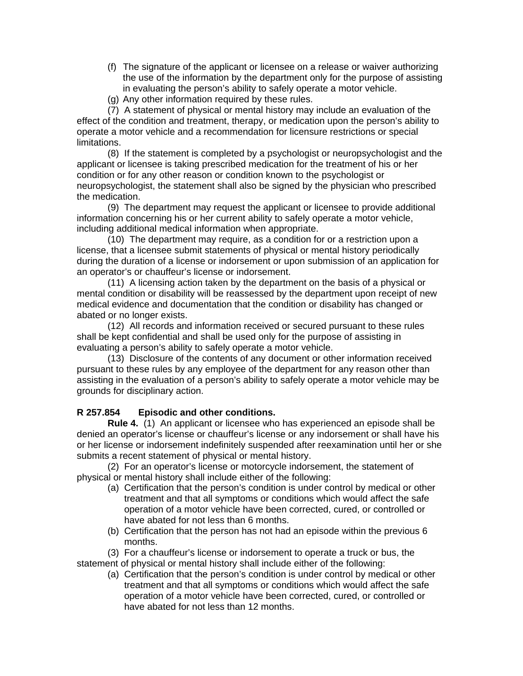- (f) The signature of the applicant or licensee on a release or waiver authorizing the use of the information by the department only for the purpose of assisting in evaluating the person's ability to safely operate a motor vehicle.
- (g) Any other information required by these rules.

(7) A statement of physical or mental history may include an evaluation of the effect of the condition and treatment, therapy, or medication upon the person's ability to operate a motor vehicle and a recommendation for licensure restrictions or special limitations.

(8) If the statement is completed by a psychologist or neuropsychologist and the applicant or licensee is taking prescribed medication for the treatment of his or her condition or for any other reason or condition known to the psychologist or neuropsychologist, the statement shall also be signed by the physician who prescribed the medication.

(9) The department may request the applicant or licensee to provide additional information concerning his or her current ability to safely operate a motor vehicle, including additional medical information when appropriate.

(10) The department may require, as a condition for or a restriction upon a license, that a licensee submit statements of physical or mental history periodically during the duration of a license or indorsement or upon submission of an application for an operator's or chauffeur's license or indorsement.

(11) A licensing action taken by the department on the basis of a physical or mental condition or disability will be reassessed by the department upon receipt of new medical evidence and documentation that the condition or disability has changed or abated or no longer exists.

(12) All records and information received or secured pursuant to these rules shall be kept confidential and shall be used only for the purpose of assisting in evaluating a person's ability to safely operate a motor vehicle.

(13) Disclosure of the contents of any document or other information received pursuant to these rules by any employee of the department for any reason other than assisting in the evaluation of a person's ability to safely operate a motor vehicle may be grounds for disciplinary action.

## **R 257.854 Episodic and other conditions.**

 **Rule 4.** (1) An applicant or licensee who has experienced an episode shall be denied an operator's license or chauffeur's license or any indorsement or shall have his or her license or indorsement indefinitely suspended after reexamination until her or she submits a recent statement of physical or mental history.

 (2) For an operator's license or motorcycle indorsement, the statement of physical or mental history shall include either of the following:

- (a) Certification that the person's condition is under control by medical or other treatment and that all symptoms or conditions which would affect the safe operation of a motor vehicle have been corrected, cured, or controlled or have abated for not less than 6 months.
- (b) Certification that the person has not had an episode within the previous 6 months.

(3) For a chauffeur's license or indorsement to operate a truck or bus, the statement of physical or mental history shall include either of the following:

(a) Certification that the person's condition is under control by medical or other treatment and that all symptoms or conditions which would affect the safe operation of a motor vehicle have been corrected, cured, or controlled or have abated for not less than 12 months.